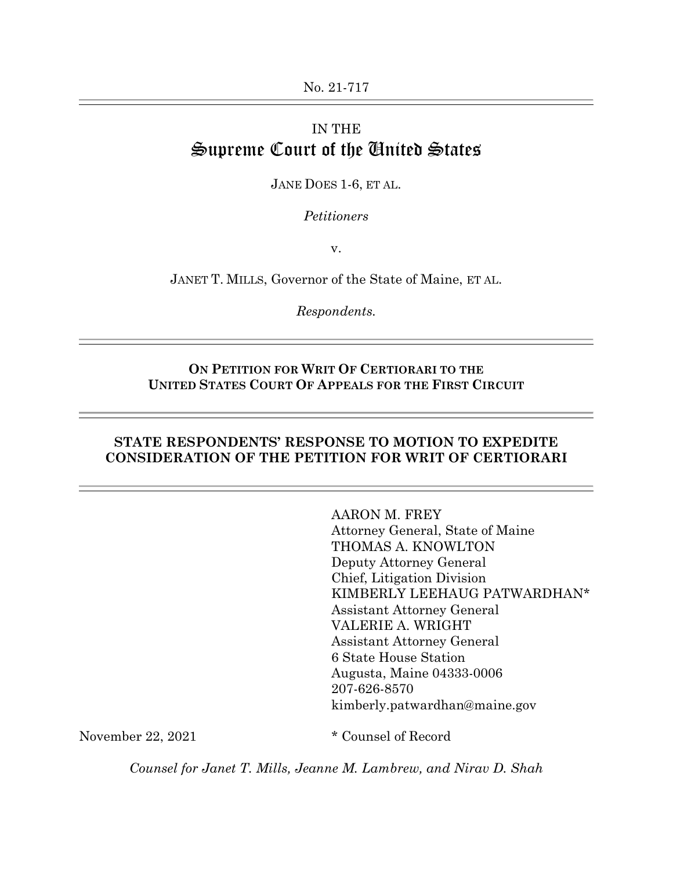# IN THE Supreme Court of the United States

JANE DOES 1-6, ET AL.

*Petitioners*

v.

JANET T. MILLS, Governor of the State of Maine, ET AL.

*Respondents.*

#### **ON PETITION FOR WRIT OF CERTIORARI TO THE UNITED STATES COURT OF APPEALS FOR THE FIRST CIRCUIT**

#### **STATE RESPONDENTS' RESPONSE TO MOTION TO EXPEDITE CONSIDERATION OF THE PETITION FOR WRIT OF CERTIORARI**

AARON M. FREY Attorney General, State of Maine THOMAS A. KNOWLTON Deputy Attorney General Chief, Litigation Division KIMBERLY LEEHAUG PATWARDHAN\* Assistant Attorney General VALERIE A. WRIGHT Assistant Attorney General 6 State House Station Augusta, Maine 04333-0006 207-626-8570 kimberly.patwardhan@maine.gov

November 22, 2021 \* Counsel of Record

*Counsel for Janet T. Mills, Jeanne M. Lambrew, and Nirav D. Shah*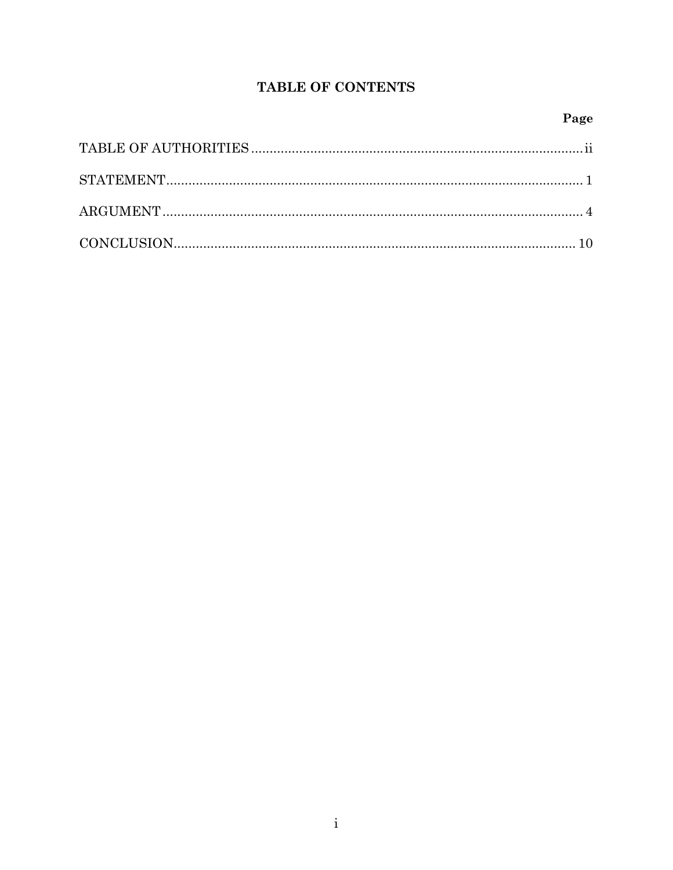### TABLE OF CONTENTS

#### Page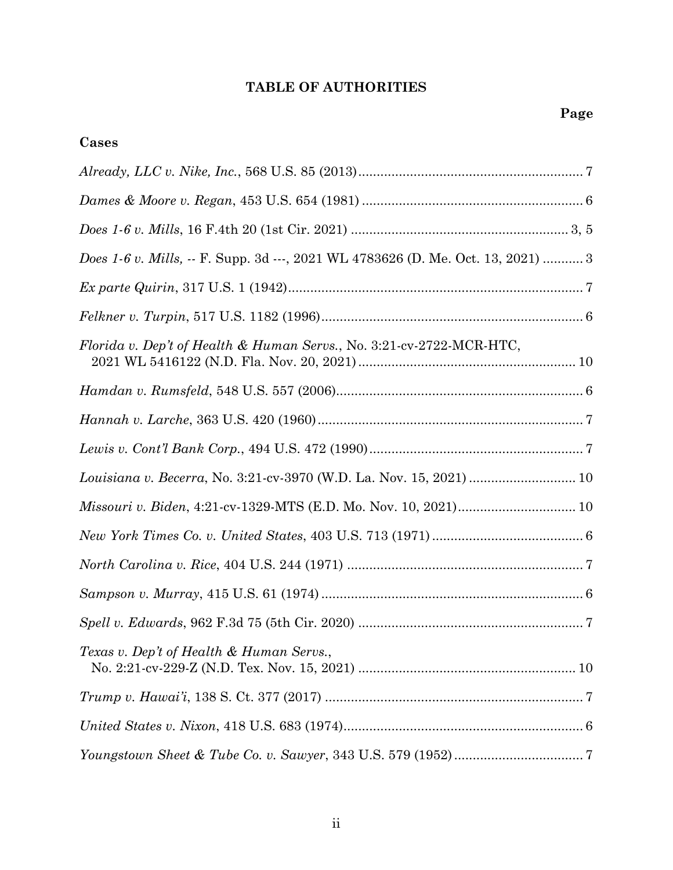### **TABLE OF AUTHORITIES**

# **Cases**

| $\emph{Dames & Moore v. Regan, 453 U.S. 654 (1981)  \nonumber \\           6$    |
|----------------------------------------------------------------------------------|
|                                                                                  |
| Does 1-6 v. Mills, -- F. Supp. 3d ---, 2021 WL 4783626 (D. Me. Oct. 13, 2021)  3 |
|                                                                                  |
|                                                                                  |
| Florida v. Dep't of Health & Human Servs., No. 3:21-cv-2722-MCR-HTC,             |
|                                                                                  |
|                                                                                  |
|                                                                                  |
| Louisiana v. Becerra, No. 3:21-cv-3970 (W.D. La. Nov. 15, 2021)  10              |
|                                                                                  |
|                                                                                  |
|                                                                                  |
|                                                                                  |
|                                                                                  |
| Texas v. Dep't of Health & Human Servs.                                          |
|                                                                                  |
|                                                                                  |
|                                                                                  |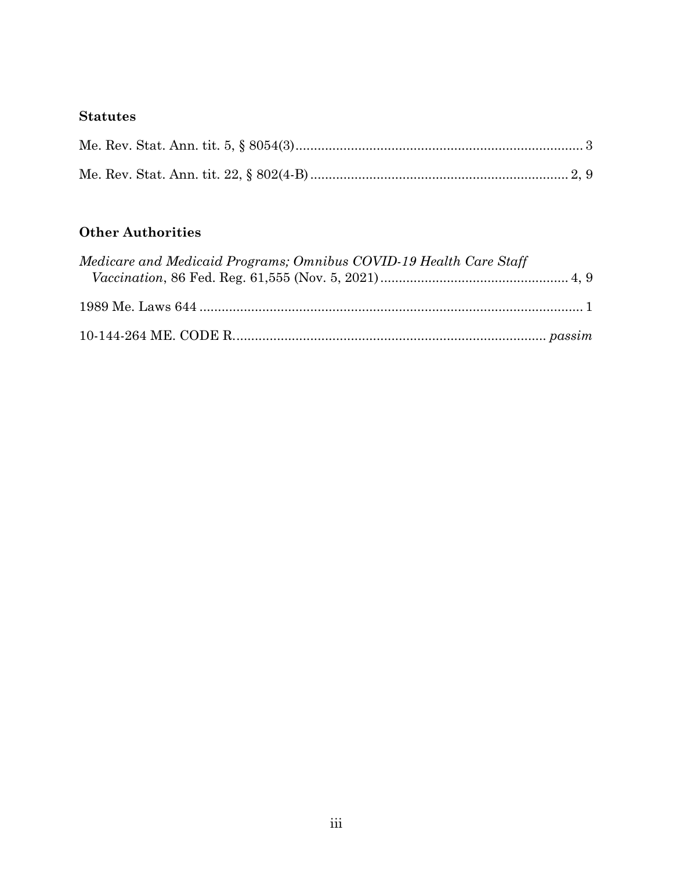### **Statutes**

# **Other Authorities**

| Medicare and Medicaid Programs; Omnibus COVID-19 Health Care Staff |  |
|--------------------------------------------------------------------|--|
|                                                                    |  |
|                                                                    |  |
|                                                                    |  |
|                                                                    |  |
|                                                                    |  |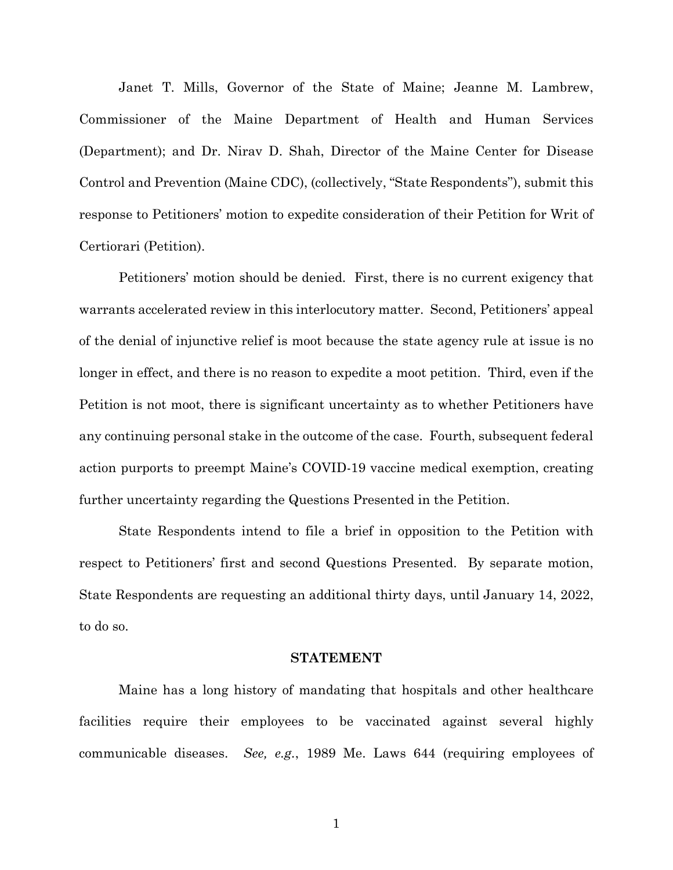Janet T. Mills, Governor of the State of Maine; Jeanne M. Lambrew, Commissioner of the Maine Department of Health and Human Services (Department); and Dr. Nirav D. Shah, Director of the Maine Center for Disease Control and Prevention (Maine CDC), (collectively, "State Respondents"), submit this response to Petitioners' motion to expedite consideration of their Petition for Writ of Certiorari (Petition).

Petitioners' motion should be denied. First, there is no current exigency that warrants accelerated review in this interlocutory matter. Second, Petitioners' appeal of the denial of injunctive relief is moot because the state agency rule at issue is no longer in effect, and there is no reason to expedite a moot petition. Third, even if the Petition is not moot, there is significant uncertainty as to whether Petitioners have any continuing personal stake in the outcome of the case. Fourth, subsequent federal action purports to preempt Maine's COVID-19 vaccine medical exemption, creating further uncertainty regarding the Questions Presented in the Petition.

State Respondents intend to file a brief in opposition to the Petition with respect to Petitioners' first and second Questions Presented. By separate motion, State Respondents are requesting an additional thirty days, until January 14, 2022, to do so.

#### **STATEMENT**

Maine has a long history of mandating that hospitals and other healthcare facilities require their employees to be vaccinated against several highly communicable diseases. *See, e.g.*, 1989 Me. Laws 644 (requiring employees of

1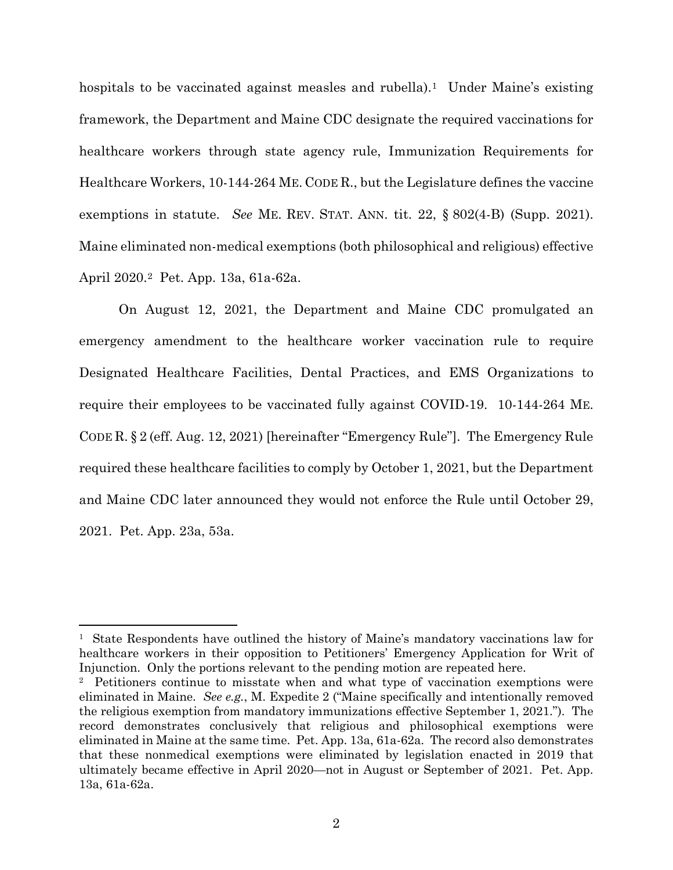hospitals to be vaccinated against measles and rubella).<sup>1</sup> Under Maine's existing framework, the Department and Maine CDC designate the required vaccinations for healthcare workers through state agency rule, Immunization Requirements for Healthcare Workers, 10-144-264 ME. CODE R., but the Legislature defines the vaccine exemptions in statute. *See* ME. REV. STAT. ANN. tit. 22, § 802(4-B) (Supp. 2021). Maine eliminated non-medical exemptions (both philosophical and religious) effective April 2020.[2](#page-5-1) Pet. App. 13a, 61a-62a.

On August 12, 2021, the Department and Maine CDC promulgated an emergency amendment to the healthcare worker vaccination rule to require Designated Healthcare Facilities, Dental Practices, and EMS Organizations to require their employees to be vaccinated fully against COVID-19. 10-144-264 ME. CODE R. § 2 (eff. Aug. 12, 2021) [hereinafter "Emergency Rule"]. The Emergency Rule required these healthcare facilities to comply by October 1, 2021, but the Department and Maine CDC later announced they would not enforce the Rule until October 29, 2021. Pet. App. 23a, 53a.

<span id="page-5-0"></span><sup>&</sup>lt;sup>1</sup> State Respondents have outlined the history of Maine's mandatory vaccinations law for healthcare workers in their opposition to Petitioners' Emergency Application for Writ of Injunction. Only the portions relevant to the pending motion are repeated here.

<span id="page-5-1"></span><sup>2</sup> Petitioners continue to misstate when and what type of vaccination exemptions were eliminated in Maine. *See e.g.*, M. Expedite 2 ("Maine specifically and intentionally removed the religious exemption from mandatory immunizations effective September 1, 2021."). The record demonstrates conclusively that religious and philosophical exemptions were eliminated in Maine at the same time. Pet. App. 13a, 61a-62a. The record also demonstrates that these nonmedical exemptions were eliminated by legislation enacted in 2019 that ultimately became effective in April 2020—not in August or September of 2021. Pet. App. 13a, 61a-62a.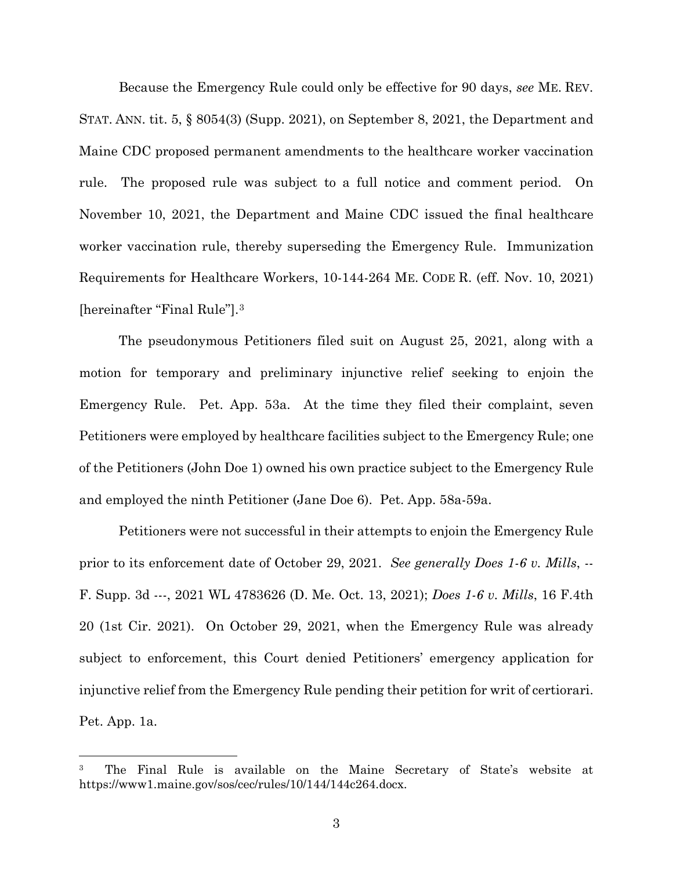Because the Emergency Rule could only be effective for 90 days, *see* ME. REV. STAT. ANN. tit. 5, § 8054(3) (Supp. 2021), on September 8, 2021, the Department and Maine CDC proposed permanent amendments to the healthcare worker vaccination rule. The proposed rule was subject to a full notice and comment period. On November 10, 2021, the Department and Maine CDC issued the final healthcare worker vaccination rule, thereby superseding the Emergency Rule. Immunization Requirements for Healthcare Workers, 10-144-264 ME. CODE R. (eff. Nov. 10, 2021) [hereinafter "Final Rule"].[3](#page-6-0)

The pseudonymous Petitioners filed suit on August 25, 2021, along with a motion for temporary and preliminary injunctive relief seeking to enjoin the Emergency Rule. Pet. App. 53a. At the time they filed their complaint, seven Petitioners were employed by healthcare facilities subject to the Emergency Rule; one of the Petitioners (John Doe 1) owned his own practice subject to the Emergency Rule and employed the ninth Petitioner (Jane Doe 6). Pet. App. 58a-59a.

Petitioners were not successful in their attempts to enjoin the Emergency Rule prior to its enforcement date of October 29, 2021. *See generally Does 1-6 v. Mills*, -- F. Supp. 3d ---, 2021 WL 4783626 (D. Me. Oct. 13, 2021); *Does 1-6 v. Mills*, 16 F.4th 20 (1st Cir. 2021). On October 29, 2021, when the Emergency Rule was already subject to enforcement, this Court denied Petitioners' emergency application for injunctive relief from the Emergency Rule pending their petition for writ of certiorari. Pet. App. 1a.

<span id="page-6-0"></span><sup>3</sup> The Final Rule is available on the Maine Secretary of State's website at https://www1.maine.gov/sos/cec/rules/10/144/144c264.docx.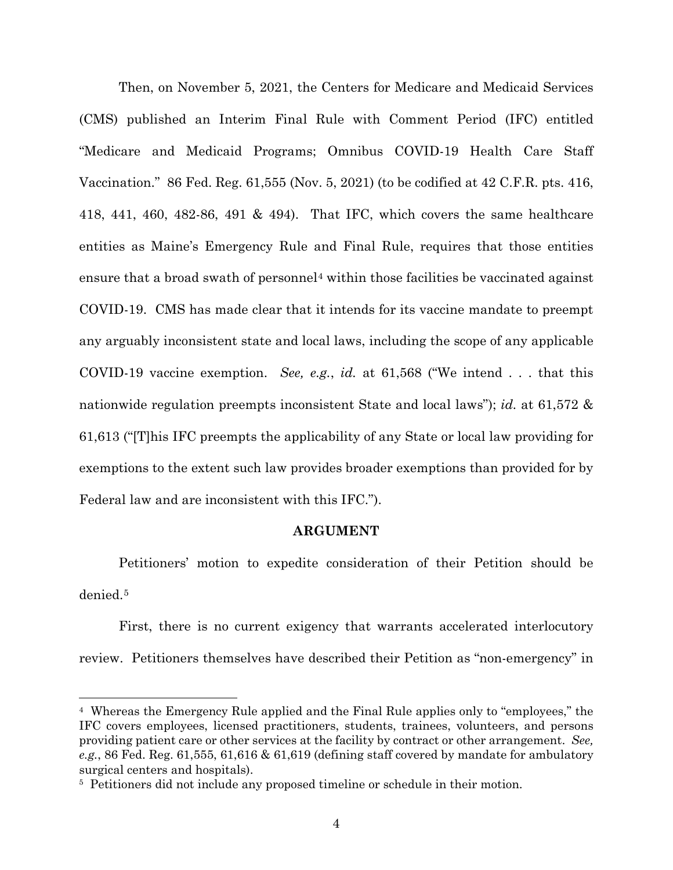Then, on November 5, 2021, the Centers for Medicare and Medicaid Services (CMS) published an Interim Final Rule with Comment Period (IFC) entitled "Medicare and Medicaid Programs; Omnibus COVID-19 Health Care Staff Vaccination." 86 Fed. Reg. 61,555 (Nov. 5, 2021) (to be codified at 42 C.F.R. pts. 416, 418, 441, 460, 482-86, 491 & 494). That IFC, which covers the same healthcare entities as Maine's Emergency Rule and Final Rule, requires that those entities ensure that a broad swath of personnel<sup>[4](#page-7-0)</sup> within those facilities be vaccinated against COVID-19. CMS has made clear that it intends for its vaccine mandate to preempt any arguably inconsistent state and local laws, including the scope of any applicable COVID-19 vaccine exemption. *See, e.g.*, *id.* at 61,568 ("We intend . . . that this nationwide regulation preempts inconsistent State and local laws"); *id.* at 61,572 & 61,613 ("[T]his IFC preempts the applicability of any State or local law providing for exemptions to the extent such law provides broader exemptions than provided for by Federal law and are inconsistent with this IFC.").

#### **ARGUMENT**

Petitioners' motion to expedite consideration of their Petition should be denied<sup>[5](#page-7-1)</sup>

First, there is no current exigency that warrants accelerated interlocutory review. Petitioners themselves have described their Petition as "non-emergency" in

<span id="page-7-0"></span><sup>4</sup> Whereas the Emergency Rule applied and the Final Rule applies only to "employees," the IFC covers employees, licensed practitioners, students, trainees, volunteers, and persons providing patient care or other services at the facility by contract or other arrangement. *See, e.g.*, 86 Fed. Reg. 61,555, 61,616 & 61,619 (defining staff covered by mandate for ambulatory surgical centers and hospitals).

<span id="page-7-1"></span><sup>&</sup>lt;sup>5</sup> Petitioners did not include any proposed timeline or schedule in their motion.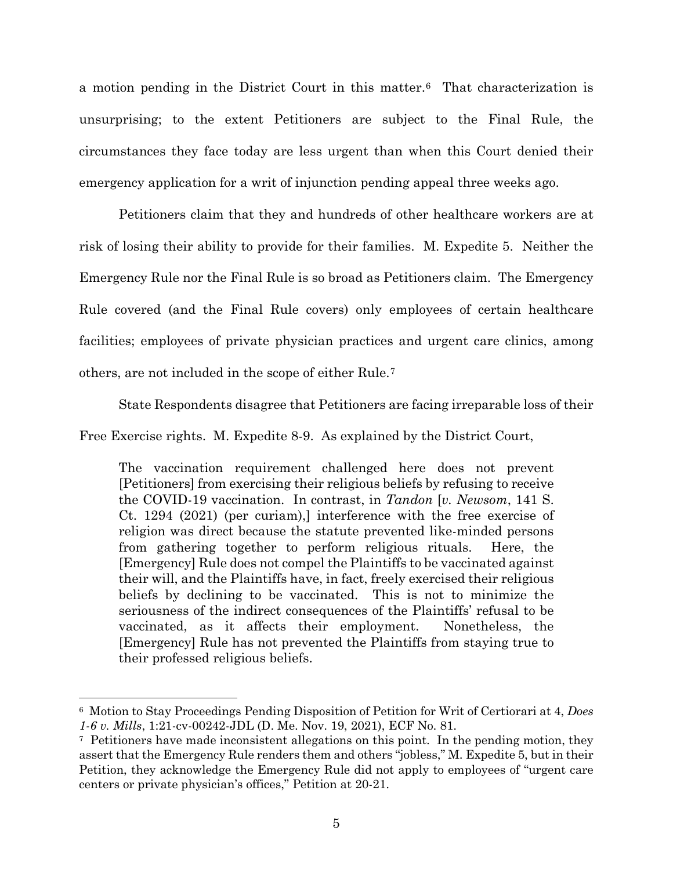a motion pending in the District Court in this matter[.6](#page-8-0) That characterization is unsurprising; to the extent Petitioners are subject to the Final Rule, the circumstances they face today are less urgent than when this Court denied their emergency application for a writ of injunction pending appeal three weeks ago.

Petitioners claim that they and hundreds of other healthcare workers are at risk of losing their ability to provide for their families. M. Expedite 5. Neither the Emergency Rule nor the Final Rule is so broad as Petitioners claim. The Emergency Rule covered (and the Final Rule covers) only employees of certain healthcare facilities; employees of private physician practices and urgent care clinics, among others, are not included in the scope of either Rule.[7](#page-8-1)

State Respondents disagree that Petitioners are facing irreparable loss of their

Free Exercise rights. M. Expedite 8-9. As explained by the District Court,

The vaccination requirement challenged here does not prevent [Petitioners] from exercising their religious beliefs by refusing to receive the COVID-19 vaccination. In contrast, in *Tandon* [*v. Newsom*, 141 S. Ct. 1294 (2021) (per curiam),] interference with the free exercise of religion was direct because the statute prevented like-minded persons from gathering together to perform religious rituals. Here, the [Emergency] Rule does not compel the Plaintiffs to be vaccinated against their will, and the Plaintiffs have, in fact, freely exercised their religious beliefs by declining to be vaccinated. This is not to minimize the seriousness of the indirect consequences of the Plaintiffs' refusal to be vaccinated, as it affects their employment. Nonetheless, the [Emergency] Rule has not prevented the Plaintiffs from staying true to their professed religious beliefs.

<span id="page-8-0"></span><sup>6</sup> Motion to Stay Proceedings Pending Disposition of Petition for Writ of Certiorari at 4, *Does 1-6 v. Mills*, 1:21-cv-00242-JDL (D. Me. Nov. 19, 2021), ECF No. 81.

<span id="page-8-1"></span><sup>7</sup> Petitioners have made inconsistent allegations on this point. In the pending motion, they assert that the Emergency Rule renders them and others "jobless," M. Expedite 5, but in their Petition, they acknowledge the Emergency Rule did not apply to employees of "urgent care centers or private physician's offices," Petition at 20-21.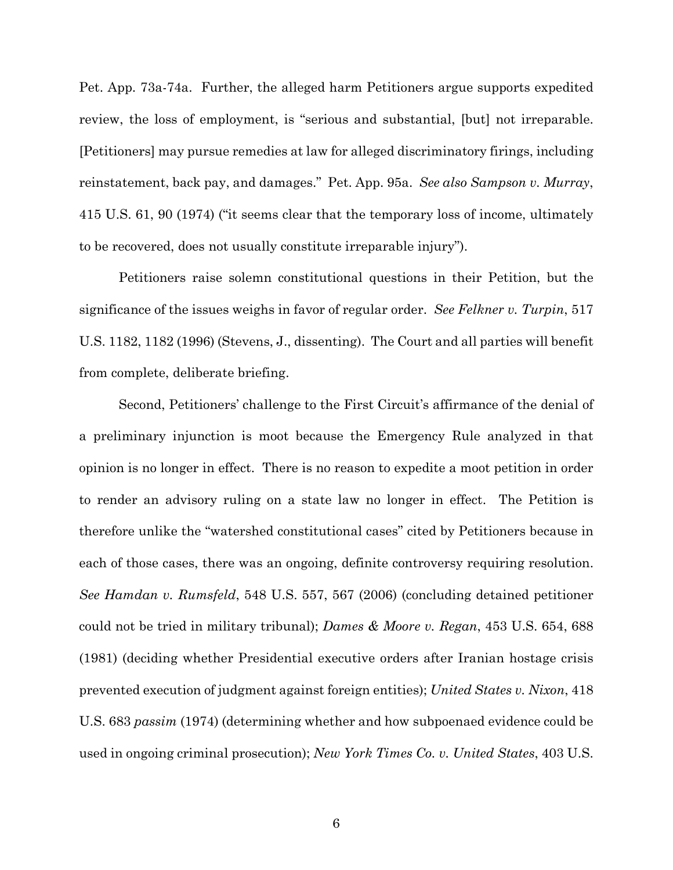Pet. App. 73a-74a. Further, the alleged harm Petitioners argue supports expedited review, the loss of employment, is "serious and substantial, [but] not irreparable. [Petitioners] may pursue remedies at law for alleged discriminatory firings, including reinstatement, back pay, and damages." Pet. App. 95a. *See also Sampson v. Murray*, 415 U.S. 61, 90 (1974) ("it seems clear that the temporary loss of income, ultimately to be recovered, does not usually constitute irreparable injury").

Petitioners raise solemn constitutional questions in their Petition, but the significance of the issues weighs in favor of regular order. *See Felkner v. Turpin*, 517 U.S. 1182, 1182 (1996) (Stevens, J., dissenting). The Court and all parties will benefit from complete, deliberate briefing.

Second, Petitioners' challenge to the First Circuit's affirmance of the denial of a preliminary injunction is moot because the Emergency Rule analyzed in that opinion is no longer in effect. There is no reason to expedite a moot petition in order to render an advisory ruling on a state law no longer in effect. The Petition is therefore unlike the "watershed constitutional cases" cited by Petitioners because in each of those cases, there was an ongoing, definite controversy requiring resolution. *See Hamdan v. Rumsfeld*, 548 U.S. 557, 567 (2006) (concluding detained petitioner could not be tried in military tribunal); *Dames & Moore v. Regan*, 453 U.S. 654, 688 (1981) (deciding whether Presidential executive orders after Iranian hostage crisis prevented execution of judgment against foreign entities); *United States v. Nixon*, 418 U.S. 683 *passim* (1974) (determining whether and how subpoenaed evidence could be used in ongoing criminal prosecution); *New York Times Co. v. United States*, 403 U.S.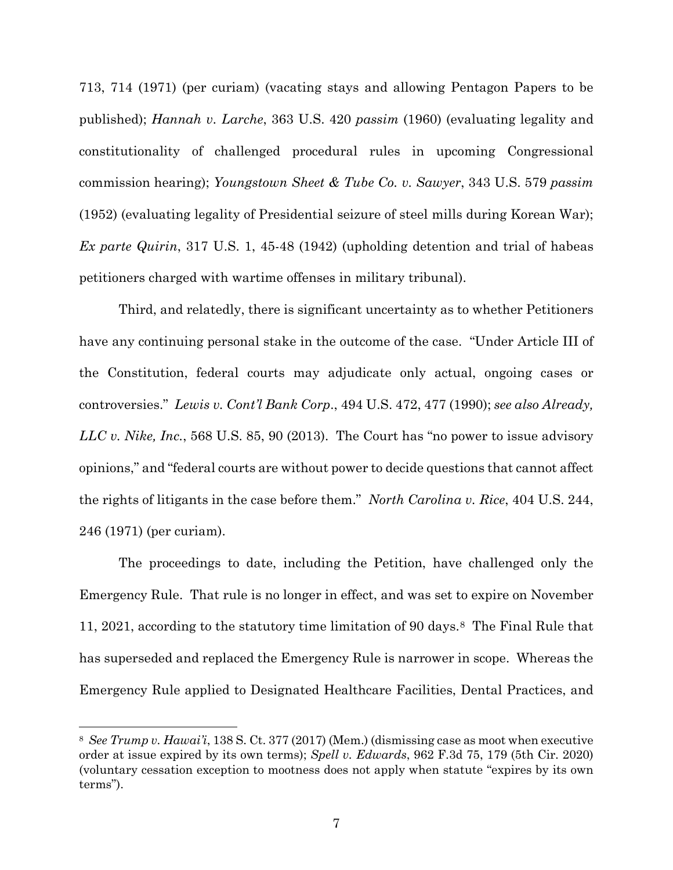713, 714 (1971) (per curiam) (vacating stays and allowing Pentagon Papers to be published); *Hannah v. Larche*, 363 U.S. 420 *passim* (1960) (evaluating legality and constitutionality of challenged procedural rules in upcoming Congressional commission hearing); *Youngstown Sheet & Tube Co. v. Sawyer*, 343 U.S. 579 *passim* (1952) (evaluating legality of Presidential seizure of steel mills during Korean War); *Ex parte Quirin*, 317 U.S. 1, 45-48 (1942) (upholding detention and trial of habeas petitioners charged with wartime offenses in military tribunal).

Third, and relatedly, there is significant uncertainty as to whether Petitioners have any continuing personal stake in the outcome of the case. "Under Article III of the Constitution, federal courts may adjudicate only actual, ongoing cases or controversies." *Lewis v. Cont'l Bank Corp*., 494 U.S. 472, 477 (1990); *see also Already, LLC v. Nike, Inc.*, 568 U.S. 85, 90 (2013). The Court has "no power to issue advisory opinions," and "federal courts are without power to decide questions that cannot affect the rights of litigants in the case before them." *North Carolina v. Rice*, 404 U.S. 244, 246 (1971) (per curiam).

The proceedings to date, including the Petition, have challenged only the Emergency Rule. That rule is no longer in effect, and was set to expire on November 11, 2021, according to the statutory time limitation of 90 days.[8](#page-10-0) The Final Rule that has superseded and replaced the Emergency Rule is narrower in scope. Whereas the Emergency Rule applied to Designated Healthcare Facilities, Dental Practices, and

<span id="page-10-0"></span><sup>8</sup> *See Trump v. Hawai'i*, 138 S. Ct. 377 (2017) (Mem.) (dismissing case as moot when executive order at issue expired by its own terms); *Spell v. Edwards*, 962 F.3d 75, 179 (5th Cir. 2020) (voluntary cessation exception to mootness does not apply when statute "expires by its own terms").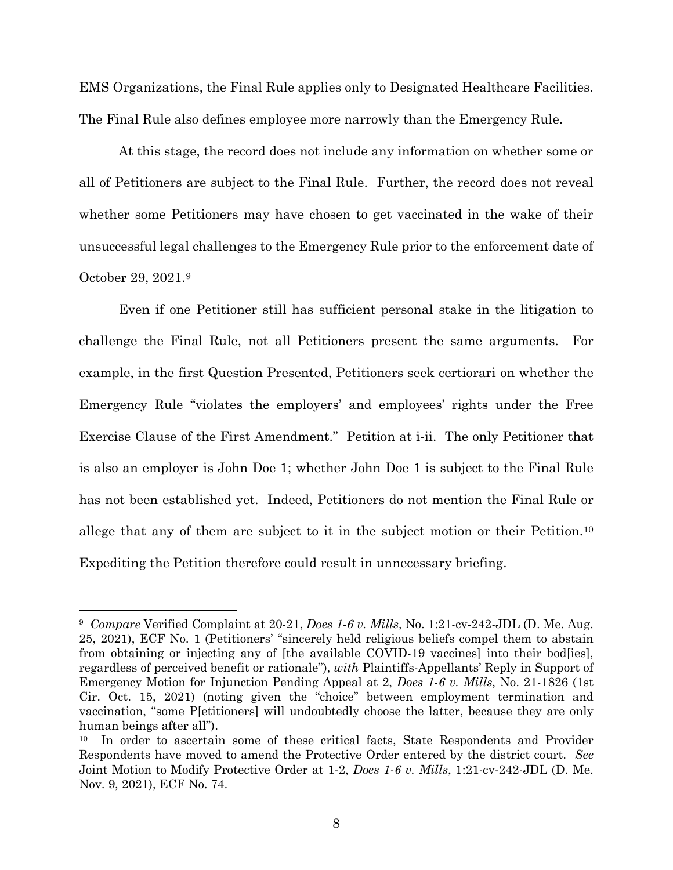EMS Organizations, the Final Rule applies only to Designated Healthcare Facilities. The Final Rule also defines employee more narrowly than the Emergency Rule.

At this stage, the record does not include any information on whether some or all of Petitioners are subject to the Final Rule. Further, the record does not reveal whether some Petitioners may have chosen to get vaccinated in the wake of their unsuccessful legal challenges to the Emergency Rule prior to the enforcement date of October 29, 2021.[9](#page-11-0) 

Even if one Petitioner still has sufficient personal stake in the litigation to challenge the Final Rule, not all Petitioners present the same arguments. For example, in the first Question Presented, Petitioners seek certiorari on whether the Emergency Rule "violates the employers' and employees' rights under the Free Exercise Clause of the First Amendment." Petition at i-ii. The only Petitioner that is also an employer is John Doe 1; whether John Doe 1 is subject to the Final Rule has not been established yet. Indeed, Petitioners do not mention the Final Rule or allege that any of them are subject to it in the subject motion or their Petition.[10](#page-11-1) Expediting the Petition therefore could result in unnecessary briefing.

<span id="page-11-0"></span><sup>9</sup> *Compare* Verified Complaint at 20-21, *Does 1-6 v. Mills*, No. 1:21-cv-242-JDL (D. Me. Aug. 25, 2021), ECF No. 1 (Petitioners' "sincerely held religious beliefs compel them to abstain from obtaining or injecting any of [the available COVID-19 vaccines] into their bod[ies], regardless of perceived benefit or rationale"), *with* Plaintiffs-Appellants' Reply in Support of Emergency Motion for Injunction Pending Appeal at 2, *Does 1-6 v. Mills*, No. 21-1826 (1st Cir. Oct. 15, 2021) (noting given the "choice" between employment termination and vaccination, "some P[etitioners] will undoubtedly choose the latter, because they are only human beings after all").

<span id="page-11-1"></span><sup>10</sup> In order to ascertain some of these critical facts, State Respondents and Provider Respondents have moved to amend the Protective Order entered by the district court. *See*  Joint Motion to Modify Protective Order at 1-2, *Does 1-6 v. Mills*, 1:21-cv-242-JDL (D. Me. Nov. 9, 2021), ECF No. 74.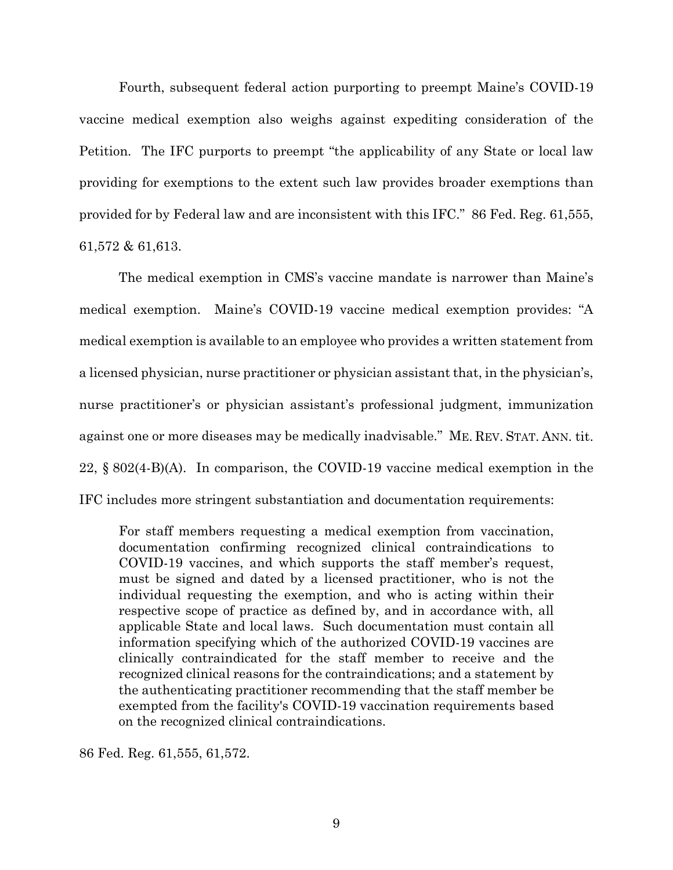Fourth, subsequent federal action purporting to preempt Maine's COVID-19 vaccine medical exemption also weighs against expediting consideration of the Petition. The IFC purports to preempt "the applicability of any State or local law providing for exemptions to the extent such law provides broader exemptions than provided for by Federal law and are inconsistent with this IFC." 86 Fed. Reg. 61,555, 61,572 & 61,613.

The medical exemption in CMS's vaccine mandate is narrower than Maine's medical exemption. Maine's COVID-19 vaccine medical exemption provides: "A medical exemption is available to an employee who provides a written statement from a licensed physician, nurse practitioner or physician assistant that, in the physician's, nurse practitioner's or physician assistant's professional judgment, immunization against one or more diseases may be medically inadvisable." ME. REV. STAT. ANN. tit. 22, § 802(4-B)(A). In comparison, the COVID-19 vaccine medical exemption in the IFC includes more stringent substantiation and documentation requirements:

For staff members requesting a medical exemption from vaccination, documentation confirming recognized clinical contraindications to COVID-19 vaccines, and which supports the staff member's request, must be signed and dated by a licensed practitioner, who is not the individual requesting the exemption, and who is acting within their respective scope of practice as defined by, and in accordance with, all applicable State and local laws. Such documentation must contain all information specifying which of the authorized COVID-19 vaccines are clinically contraindicated for the staff member to receive and the recognized clinical reasons for the contraindications; and a statement by the authenticating practitioner recommending that the staff member be exempted from the facility's COVID-19 vaccination requirements based on the recognized clinical contraindications.

86 Fed. Reg. 61,555, 61,572.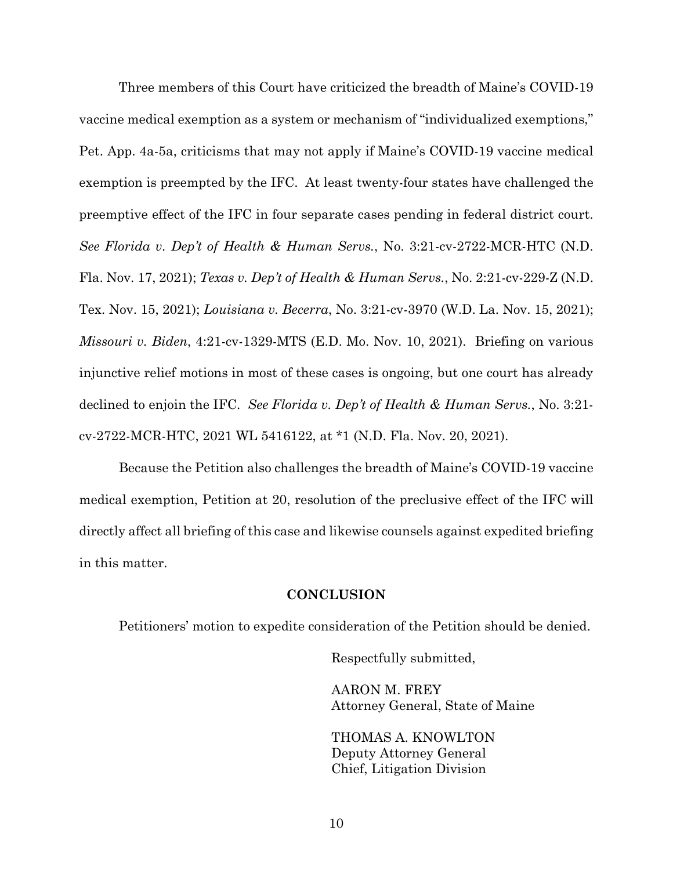Three members of this Court have criticized the breadth of Maine's COVID-19 vaccine medical exemption as a system or mechanism of "individualized exemptions," Pet. App. 4a-5a, criticisms that may not apply if Maine's COVID-19 vaccine medical exemption is preempted by the IFC. At least twenty-four states have challenged the preemptive effect of the IFC in four separate cases pending in federal district court. *See Florida v. Dep't of Health & Human Servs.*, No. 3:21-cv-2722-MCR-HTC (N.D. Fla. Nov. 17, 2021); *Texas v. Dep't of Health & Human Servs.*, No. 2:21-cv-229-Z (N.D. Tex. Nov. 15, 2021); *Louisiana v. Becerra*, No. 3:21-cv-3970 (W.D. La. Nov. 15, 2021); *Missouri v. Biden*, 4:21-cv-1329-MTS (E.D. Mo. Nov. 10, 2021). Briefing on various injunctive relief motions in most of these cases is ongoing, but one court has already declined to enjoin the IFC. *See Florida v. Dep't of Health & Human Servs.*, No. 3:21 cv-2722-MCR-HTC, 2021 WL 5416122, at \*1 (N.D. Fla. Nov. 20, 2021).

Because the Petition also challenges the breadth of Maine's COVID-19 vaccine medical exemption, Petition at 20, resolution of the preclusive effect of the IFC will directly affect all briefing of this case and likewise counsels against expedited briefing in this matter.

#### **CONCLUSION**

Petitioners' motion to expedite consideration of the Petition should be denied.

Respectfully submitted,

AARON M. FREY Attorney General, State of Maine

THOMAS A. KNOWLTON Deputy Attorney General Chief, Litigation Division